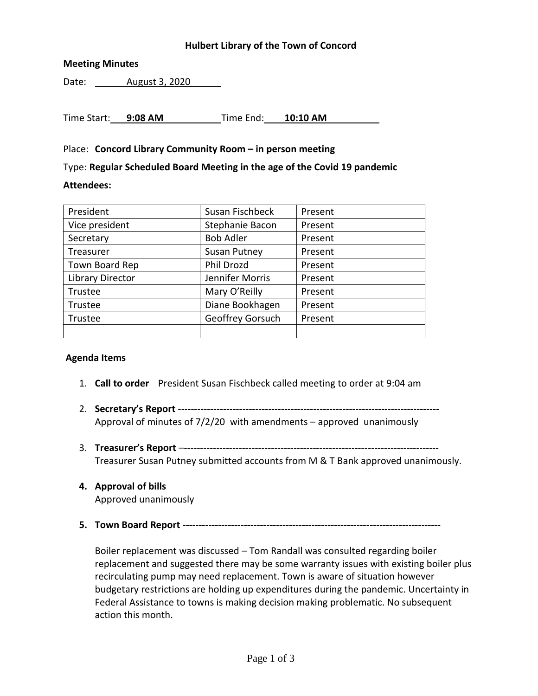# **Hulbert Library of the Town of Concord**

# **Meeting Minutes**

Date: August 3, 2020

Time Start: **9:08 AM** Time End: **10:10 AM**

## Place: **Concord Library Community Room – in person meeting**

Type: **Regular Scheduled Board Meeting in the age of the Covid 19 pandemic**

#### **Attendees:**

| President               | Susan Fischbeck     | Present |
|-------------------------|---------------------|---------|
| Vice president          | Stephanie Bacon     | Present |
| Secretary               | <b>Bob Adler</b>    | Present |
| Treasurer               | <b>Susan Putney</b> | Present |
| Town Board Rep          | <b>Phil Drozd</b>   | Present |
| <b>Library Director</b> | Jennifer Morris     | Present |
| Trustee                 | Mary O'Reilly       | Present |
| Trustee                 | Diane Bookhagen     | Present |
| Trustee                 | Geoffrey Gorsuch    | Present |
|                         |                     |         |

## **Agenda Items**

- 1. **Call to order** President Susan Fischbeck called meeting to order at 9:04 am
- 2. **Secretary's Report** --------------------------------------------------------------------------------- Approval of minutes of 7/2/20 with amendments – approved unanimously
- 3. **Treasurer's Report** –------------------------------------------------------------------------------- Treasurer Susan Putney submitted accounts from M & T Bank approved unanimously.
- **4. Approval of bills** Approved unanimously
- **5. Town Board Report --------------------------------------------------------------------------------**

Boiler replacement was discussed – Tom Randall was consulted regarding boiler replacement and suggested there may be some warranty issues with existing boiler plus recirculating pump may need replacement. Town is aware of situation however budgetary restrictions are holding up expenditures during the pandemic. Uncertainty in Federal Assistance to towns is making decision making problematic. No subsequent action this month.